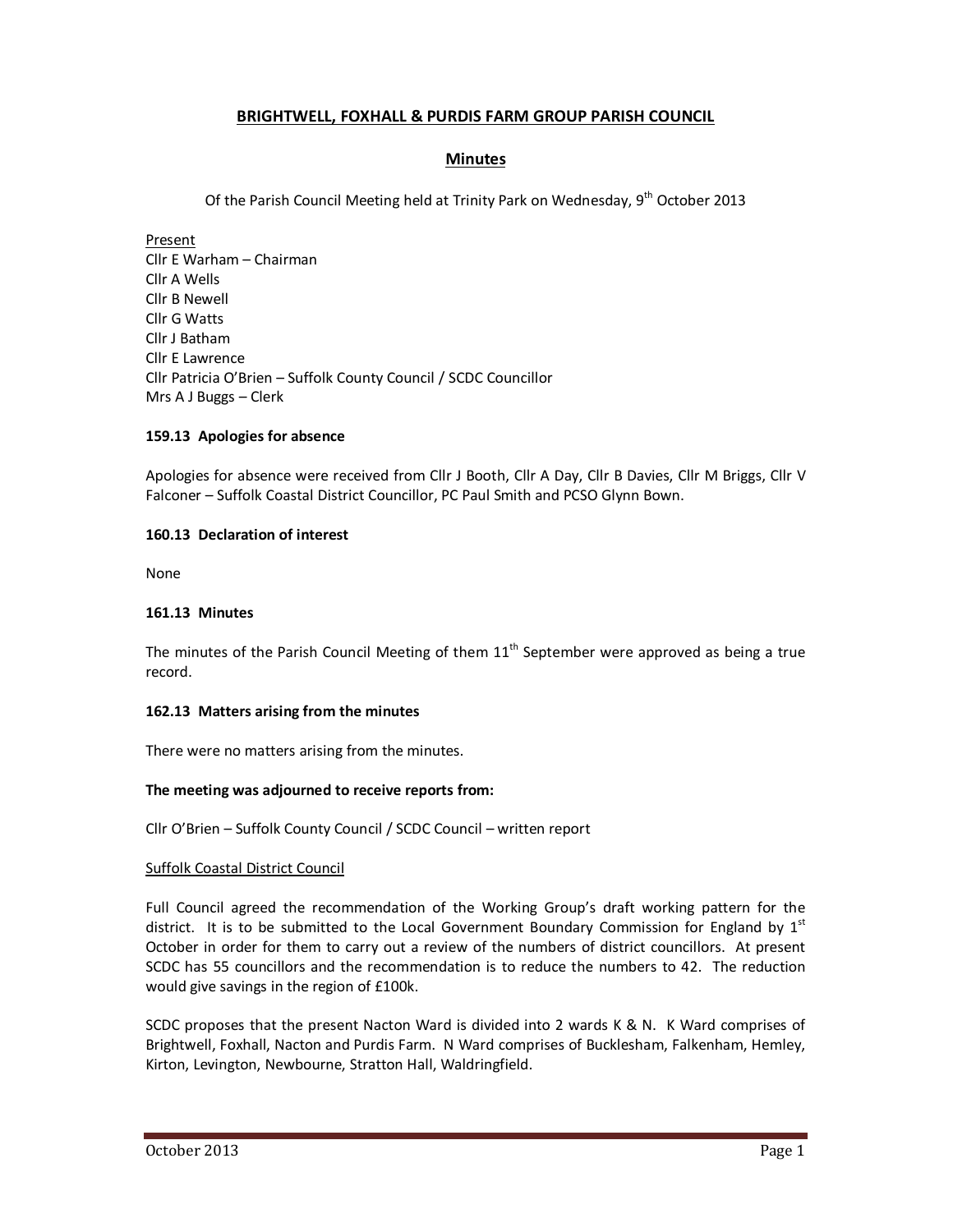# **BRIGHTWELL, FOXHALL & PURDIS FARM GROUP PARISH COUNCIL**

## **Minutes**

Of the Parish Council Meeting held at Trinity Park on Wednesday, 9<sup>th</sup> October 2013

Present Cllr E Warham – Chairman Cllr A Wells Cllr B Newell Cllr G Watts Cllr J Batham Cllr E Lawrence Cllr Patricia O'Brien – Suffolk County Council / SCDC Councillor Mrs A J Buggs – Clerk

## **159.13 Apologies for absence**

Apologies for absence were received from Cllr J Booth, Cllr A Day, Cllr B Davies, Cllr M Briggs, Cllr V Falconer – Suffolk Coastal District Councillor, PC Paul Smith and PCSO Glynn Bown.

## **160.13 Declaration of interest**

None

### **161.13 Minutes**

The minutes of the Parish Council Meeting of them  $11<sup>th</sup>$  September were approved as being a true record.

### **162.13 Matters arising from the minutes**

There were no matters arising from the minutes.

#### **The meeting was adjourned to receive reports from:**

Cllr O'Brien – Suffolk County Council / SCDC Council – written report

## Suffolk Coastal District Council

Full Council agreed the recommendation of the Working Group's draft working pattern for the district. It is to be submitted to the Local Government Boundary Commission for England by  $1<sup>st</sup>$ October in order for them to carry out a review of the numbers of district councillors. At present SCDC has 55 councillors and the recommendation is to reduce the numbers to 42. The reduction would give savings in the region of £100k.

SCDC proposes that the present Nacton Ward is divided into 2 wards K & N. K Ward comprises of Brightwell, Foxhall, Nacton and Purdis Farm. N Ward comprises of Bucklesham, Falkenham, Hemley, Kirton, Levington, Newbourne, Stratton Hall, Waldringfield.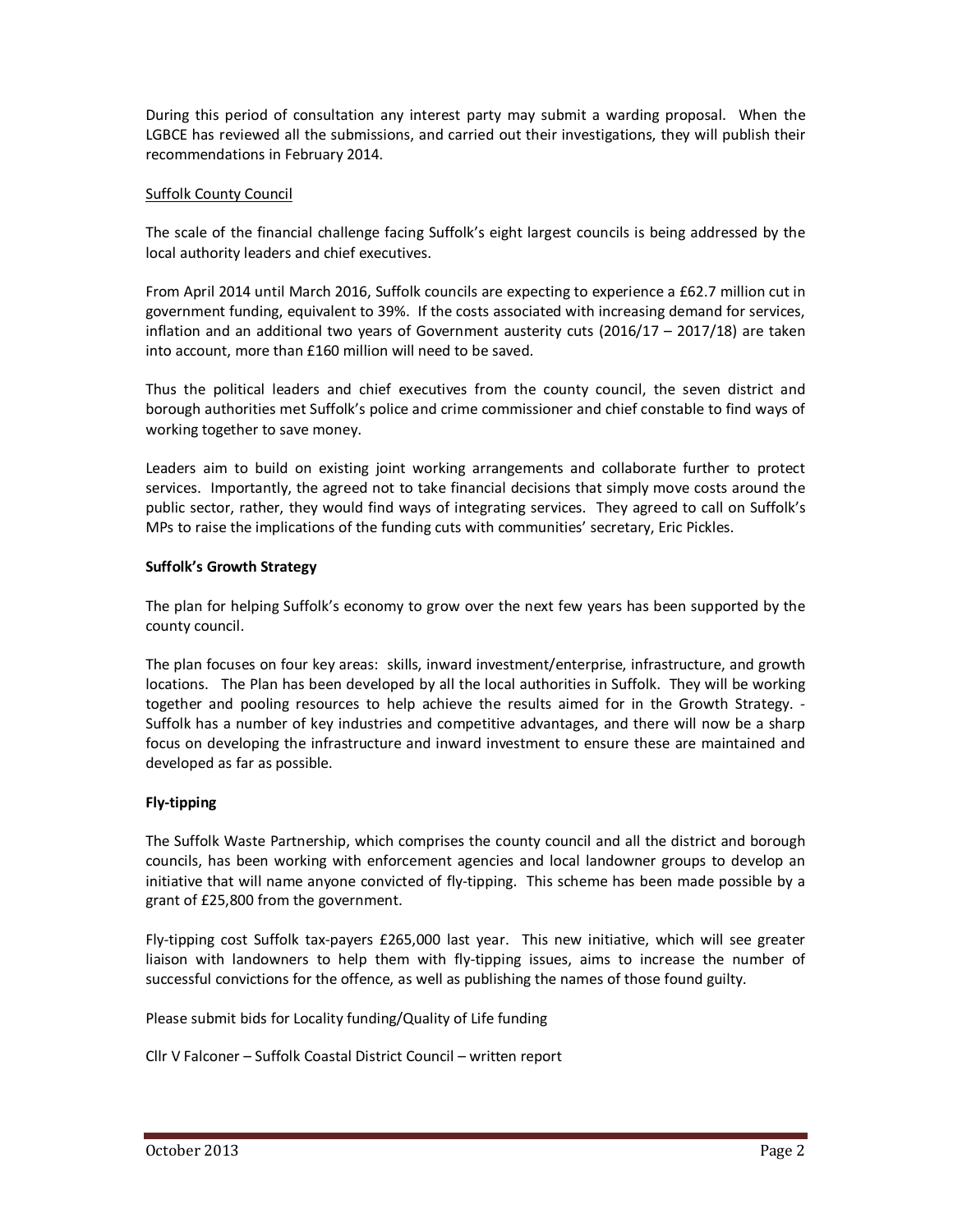During this period of consultation any interest party may submit a warding proposal. When the LGBCE has reviewed all the submissions, and carried out their investigations, they will publish their recommendations in February 2014.

## Suffolk County Council

The scale of the financial challenge facing Suffolk's eight largest councils is being addressed by the local authority leaders and chief executives.

From April 2014 until March 2016, Suffolk councils are expecting to experience a £62.7 million cut in government funding, equivalent to 39%. If the costs associated with increasing demand for services, inflation and an additional two years of Government austerity cuts (2016/17 – 2017/18) are taken into account, more than £160 million will need to be saved.

Thus the political leaders and chief executives from the county council, the seven district and borough authorities met Suffolk's police and crime commissioner and chief constable to find ways of working together to save money.

Leaders aim to build on existing joint working arrangements and collaborate further to protect services. Importantly, the agreed not to take financial decisions that simply move costs around the public sector, rather, they would find ways of integrating services. They agreed to call on Suffolk's MPs to raise the implications of the funding cuts with communities' secretary, Eric Pickles.

## **Suffolk's Growth Strategy**

The plan for helping Suffolk's economy to grow over the next few years has been supported by the county council.

The plan focuses on four key areas: skills, inward investment/enterprise, infrastructure, and growth locations. The Plan has been developed by all the local authorities in Suffolk. They will be working together and pooling resources to help achieve the results aimed for in the Growth Strategy. - Suffolk has a number of key industries and competitive advantages, and there will now be a sharp focus on developing the infrastructure and inward investment to ensure these are maintained and developed as far as possible.

## **Fly-tipping**

The Suffolk Waste Partnership, which comprises the county council and all the district and borough councils, has been working with enforcement agencies and local landowner groups to develop an initiative that will name anyone convicted of fly-tipping. This scheme has been made possible by a grant of £25,800 from the government.

Fly-tipping cost Suffolk tax-payers £265,000 last year. This new initiative, which will see greater liaison with landowners to help them with fly-tipping issues, aims to increase the number of successful convictions for the offence, as well as publishing the names of those found guilty.

Please submit bids for Locality funding/Quality of Life funding

Cllr V Falconer – Suffolk Coastal District Council – written report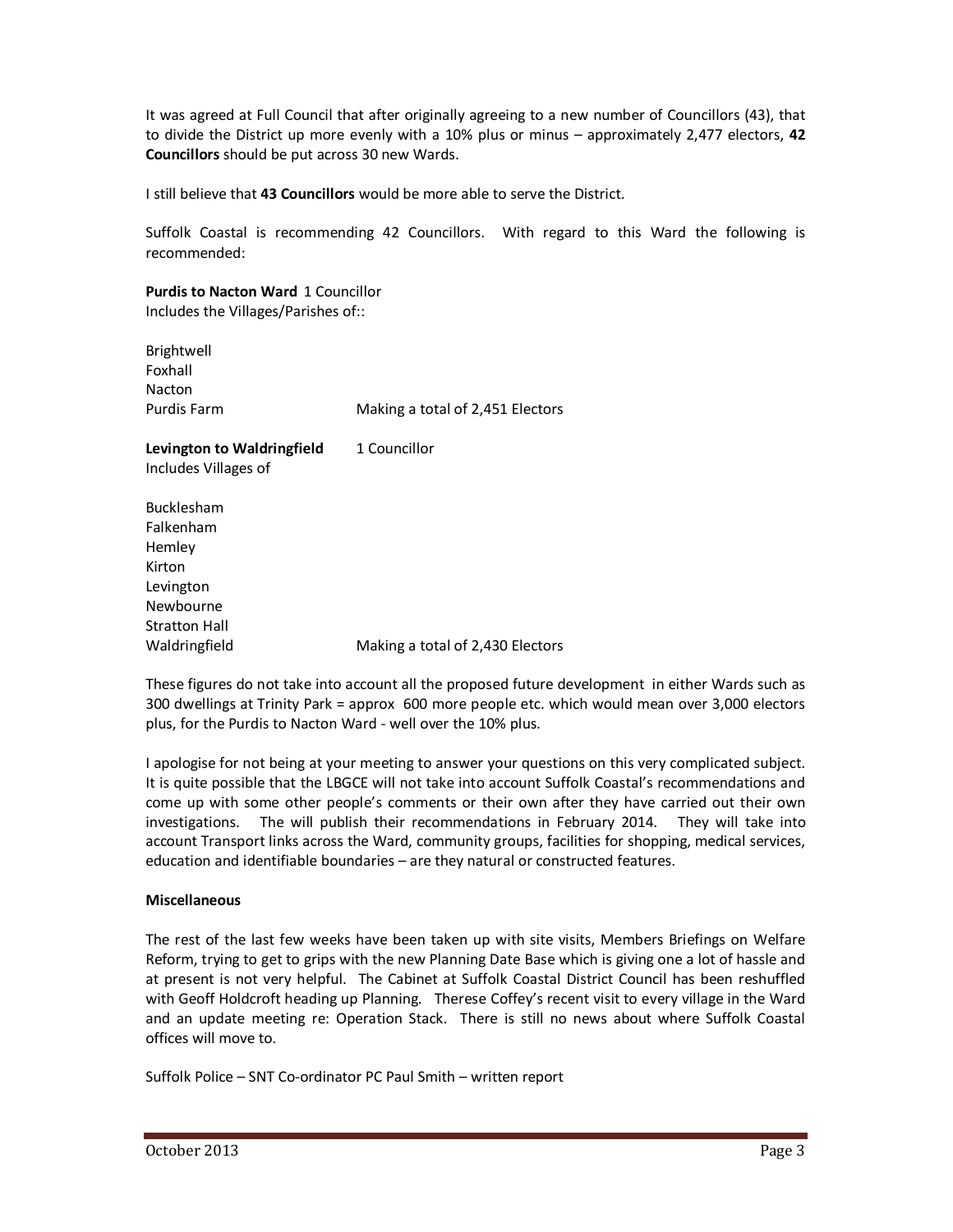It was agreed at Full Council that after originally agreeing to a new number of Councillors (43), that to divide the District up more evenly with a 10% plus or minus – approximately 2,477 electors, **42 Councillors** should be put across 30 new Wards.

I still believe that **43 Councillors** would be more able to serve the District.

Suffolk Coastal is recommending 42 Councillors. With regard to this Ward the following is recommended:

**Purdis to Nacton Ward** 1 Councillor Includes the Villages/Parishes of::

| Brightwell                 |                                  |
|----------------------------|----------------------------------|
| Foxhall                    |                                  |
| Nacton                     |                                  |
| Purdis Farm                | Making a total of 2,451 Electors |
| Levington to Waldringfield | 1 Councillor                     |
| Includes Villages of       |                                  |
| <b>Bucklesham</b>          |                                  |
| Falkenham                  |                                  |
| Hemley                     |                                  |
| Kirton                     |                                  |
|                            |                                  |

Stratton Hall Waldringfield Making a total of 2,430 Electors

These figures do not take into account all the proposed future development in either Wards such as 300 dwellings at Trinity Park = approx 600 more people etc. which would mean over 3,000 electors plus, for the Purdis to Nacton Ward - well over the 10% plus.

I apologise for not being at your meeting to answer your questions on this very complicated subject. It is quite possible that the LBGCE will not take into account Suffolk Coastal's recommendations and come up with some other people's comments or their own after they have carried out their own investigations. The will publish their recommendations in February 2014. They will take into account Transport links across the Ward, community groups, facilities for shopping, medical services, education and identifiable boundaries – are they natural or constructed features.

## **Miscellaneous**

Levington Newbourne

The rest of the last few weeks have been taken up with site visits, Members Briefings on Welfare Reform, trying to get to grips with the new Planning Date Base which is giving one a lot of hassle and at present is not very helpful. The Cabinet at Suffolk Coastal District Council has been reshuffled with Geoff Holdcroft heading up Planning. Therese Coffey's recent visit to every village in the Ward and an update meeting re: Operation Stack. There is still no news about where Suffolk Coastal offices will move to.

Suffolk Police – SNT Co-ordinator PC Paul Smith – written report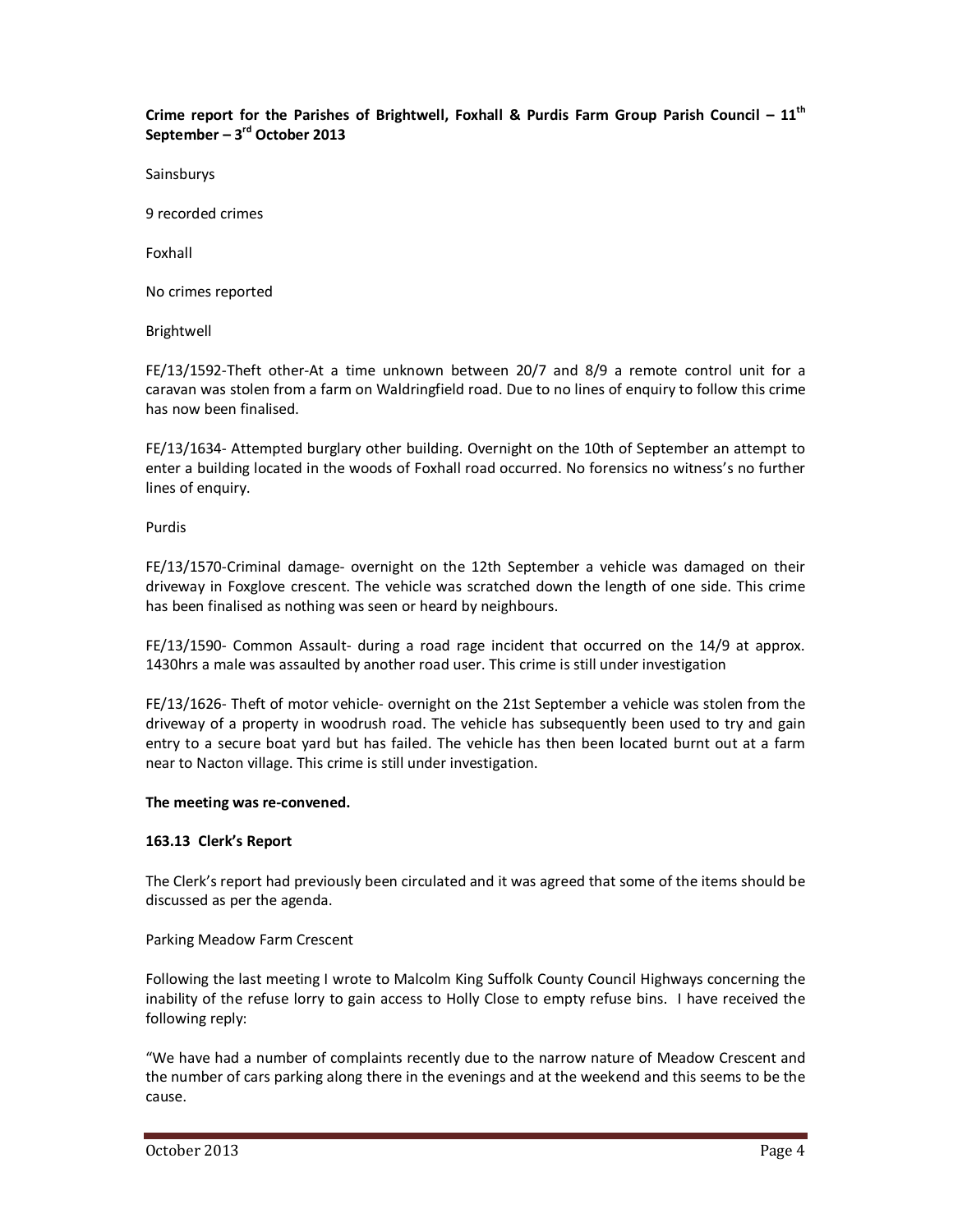## **Crime report for the Parishes of Brightwell, Foxhall & Purdis Farm Group Parish Council – 11th September – 3rd October 2013**

Sainsburys

9 recorded crimes

Foxhall

No crimes reported

Brightwell

FE/13/1592-Theft other-At a time unknown between 20/7 and 8/9 a remote control unit for a caravan was stolen from a farm on Waldringfield road. Due to no lines of enquiry to follow this crime has now been finalised.

FE/13/1634- Attempted burglary other building. Overnight on the 10th of September an attempt to enter a building located in the woods of Foxhall road occurred. No forensics no witness's no further lines of enquiry.

Purdis

FE/13/1570-Criminal damage- overnight on the 12th September a vehicle was damaged on their driveway in Foxglove crescent. The vehicle was scratched down the length of one side. This crime has been finalised as nothing was seen or heard by neighbours.

FE/13/1590- Common Assault- during a road rage incident that occurred on the 14/9 at approx. 1430hrs a male was assaulted by another road user. This crime is still under investigation

FE/13/1626- Theft of motor vehicle- overnight on the 21st September a vehicle was stolen from the driveway of a property in woodrush road. The vehicle has subsequently been used to try and gain entry to a secure boat yard but has failed. The vehicle has then been located burnt out at a farm near to Nacton village. This crime is still under investigation.

#### **The meeting was re-convened.**

#### **163.13 Clerk's Report**

The Clerk's report had previously been circulated and it was agreed that some of the items should be discussed as per the agenda.

#### Parking Meadow Farm Crescent

Following the last meeting I wrote to Malcolm King Suffolk County Council Highways concerning the inability of the refuse lorry to gain access to Holly Close to empty refuse bins. I have received the following reply:

"We have had a number of complaints recently due to the narrow nature of Meadow Crescent and the number of cars parking along there in the evenings and at the weekend and this seems to be the cause.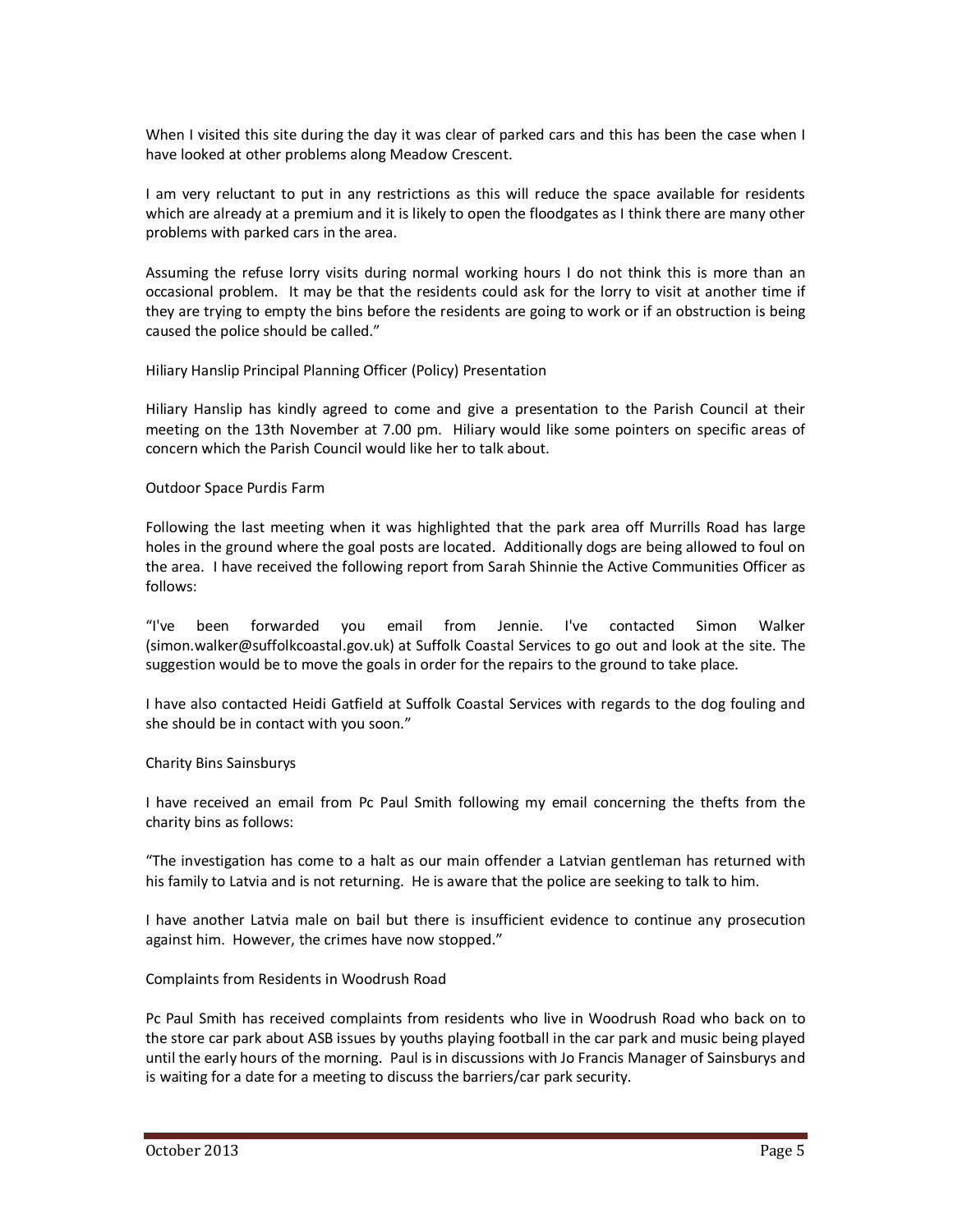When I visited this site during the day it was clear of parked cars and this has been the case when I have looked at other problems along Meadow Crescent.

I am very reluctant to put in any restrictions as this will reduce the space available for residents which are already at a premium and it is likely to open the floodgates as I think there are many other problems with parked cars in the area.

Assuming the refuse lorry visits during normal working hours I do not think this is more than an occasional problem. It may be that the residents could ask for the lorry to visit at another time if they are trying to empty the bins before the residents are going to work or if an obstruction is being caused the police should be called."

#### Hiliary Hanslip Principal Planning Officer (Policy) Presentation

Hiliary Hanslip has kindly agreed to come and give a presentation to the Parish Council at their meeting on the 13th November at 7.00 pm. Hiliary would like some pointers on specific areas of concern which the Parish Council would like her to talk about.

#### Outdoor Space Purdis Farm

Following the last meeting when it was highlighted that the park area off Murrills Road has large holes in the ground where the goal posts are located. Additionally dogs are being allowed to foul on the area. I have received the following report from Sarah Shinnie the Active Communities Officer as follows:

"I've been forwarded you email from Jennie. I've contacted Simon Walker (simon.walker@suffolkcoastal.gov.uk) at Suffolk Coastal Services to go out and look at the site. The suggestion would be to move the goals in order for the repairs to the ground to take place.

I have also contacted Heidi Gatfield at Suffolk Coastal Services with regards to the dog fouling and she should be in contact with you soon."

#### Charity Bins Sainsburys

I have received an email from Pc Paul Smith following my email concerning the thefts from the charity bins as follows:

"The investigation has come to a halt as our main offender a Latvian gentleman has returned with his family to Latvia and is not returning. He is aware that the police are seeking to talk to him.

I have another Latvia male on bail but there is insufficient evidence to continue any prosecution against him. However, the crimes have now stopped."

#### Complaints from Residents in Woodrush Road

Pc Paul Smith has received complaints from residents who live in Woodrush Road who back on to the store car park about ASB issues by youths playing football in the car park and music being played until the early hours of the morning. Paul is in discussions with Jo Francis Manager of Sainsburys and is waiting for a date for a meeting to discuss the barriers/car park security.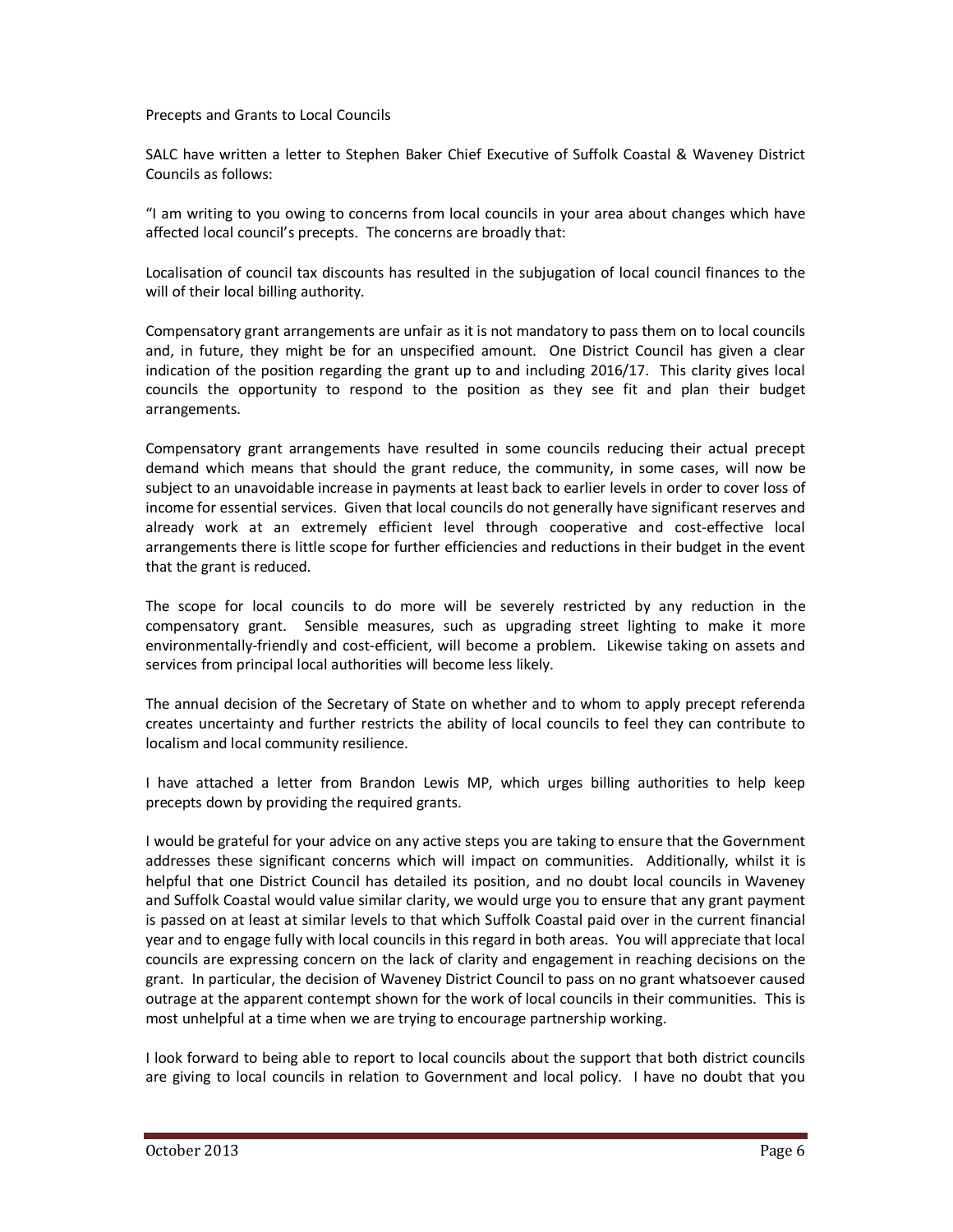Precepts and Grants to Local Councils

SALC have written a letter to Stephen Baker Chief Executive of Suffolk Coastal & Waveney District Councils as follows:

"I am writing to you owing to concerns from local councils in your area about changes which have affected local council's precepts. The concerns are broadly that:

Localisation of council tax discounts has resulted in the subjugation of local council finances to the will of their local billing authority.

Compensatory grant arrangements are unfair as it is not mandatory to pass them on to local councils and, in future, they might be for an unspecified amount. One District Council has given a clear indication of the position regarding the grant up to and including 2016/17. This clarity gives local councils the opportunity to respond to the position as they see fit and plan their budget arrangements.

Compensatory grant arrangements have resulted in some councils reducing their actual precept demand which means that should the grant reduce, the community, in some cases, will now be subject to an unavoidable increase in payments at least back to earlier levels in order to cover loss of income for essential services. Given that local councils do not generally have significant reserves and already work at an extremely efficient level through cooperative and cost-effective local arrangements there is little scope for further efficiencies and reductions in their budget in the event that the grant is reduced.

The scope for local councils to do more will be severely restricted by any reduction in the compensatory grant. Sensible measures, such as upgrading street lighting to make it more environmentally-friendly and cost-efficient, will become a problem. Likewise taking on assets and services from principal local authorities will become less likely.

The annual decision of the Secretary of State on whether and to whom to apply precept referenda creates uncertainty and further restricts the ability of local councils to feel they can contribute to localism and local community resilience.

I have attached a letter from Brandon Lewis MP, which urges billing authorities to help keep precepts down by providing the required grants.

I would be grateful for your advice on any active steps you are taking to ensure that the Government addresses these significant concerns which will impact on communities. Additionally, whilst it is helpful that one District Council has detailed its position, and no doubt local councils in Waveney and Suffolk Coastal would value similar clarity, we would urge you to ensure that any grant payment is passed on at least at similar levels to that which Suffolk Coastal paid over in the current financial year and to engage fully with local councils in this regard in both areas. You will appreciate that local councils are expressing concern on the lack of clarity and engagement in reaching decisions on the grant. In particular, the decision of Waveney District Council to pass on no grant whatsoever caused outrage at the apparent contempt shown for the work of local councils in their communities. This is most unhelpful at a time when we are trying to encourage partnership working.

I look forward to being able to report to local councils about the support that both district councils are giving to local councils in relation to Government and local policy. I have no doubt that you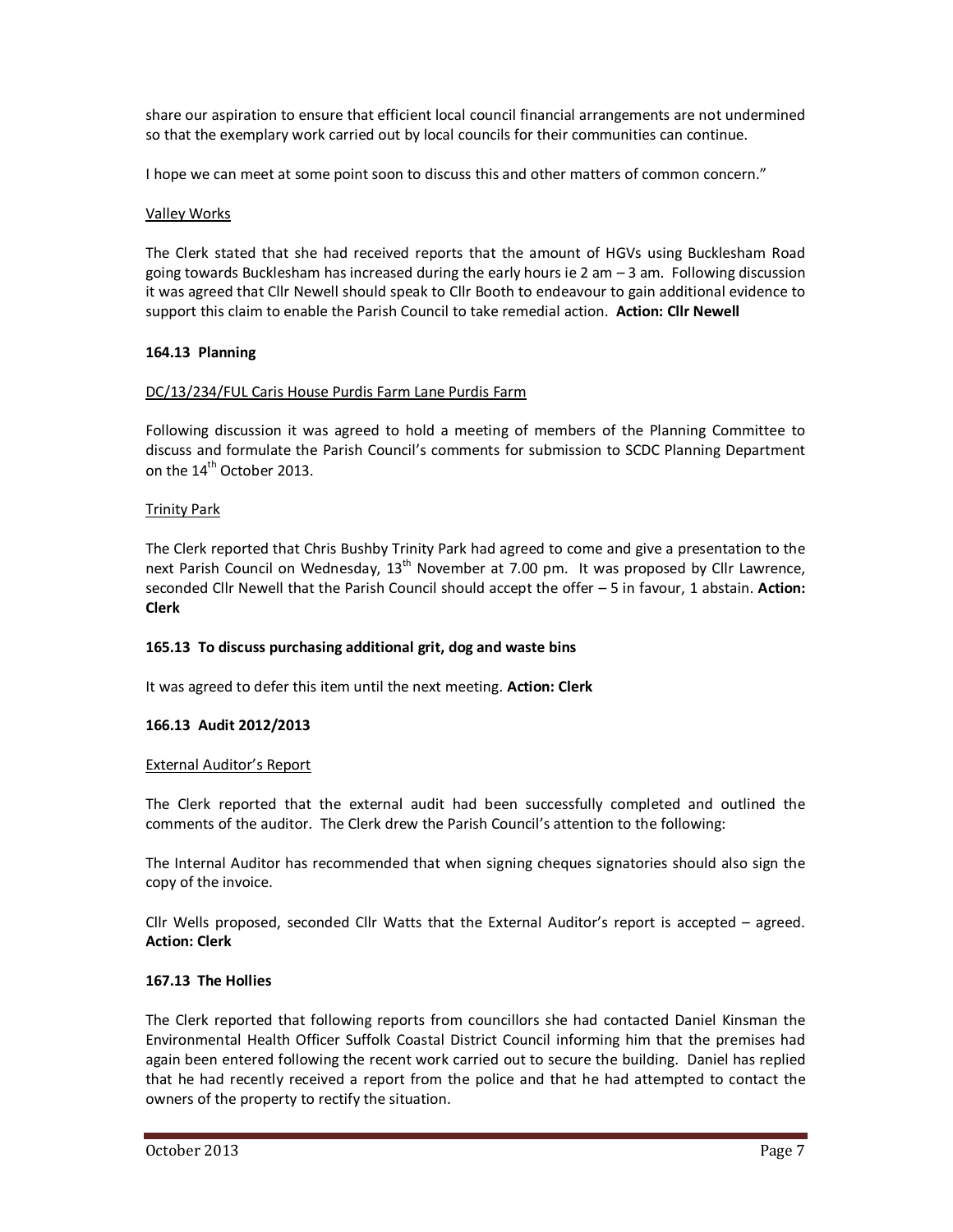share our aspiration to ensure that efficient local council financial arrangements are not undermined so that the exemplary work carried out by local councils for their communities can continue.

I hope we can meet at some point soon to discuss this and other matters of common concern."

### Valley Works

The Clerk stated that she had received reports that the amount of HGVs using Bucklesham Road going towards Bucklesham has increased during the early hours ie 2 am – 3 am. Following discussion it was agreed that Cllr Newell should speak to Cllr Booth to endeavour to gain additional evidence to support this claim to enable the Parish Council to take remedial action. **Action: Cllr Newell**

## **164.13 Planning**

## DC/13/234/FUL Caris House Purdis Farm Lane Purdis Farm

Following discussion it was agreed to hold a meeting of members of the Planning Committee to discuss and formulate the Parish Council's comments for submission to SCDC Planning Department on the 14<sup>th</sup> October 2013.

## Trinity Park

The Clerk reported that Chris Bushby Trinity Park had agreed to come and give a presentation to the next Parish Council on Wednesday,  $13<sup>th</sup>$  November at 7.00 pm. It was proposed by Cllr Lawrence, seconded Cllr Newell that the Parish Council should accept the offer – 5 in favour, 1 abstain. **Action: Clerk**

#### **165.13 To discuss purchasing additional grit, dog and waste bins**

It was agreed to defer this item until the next meeting. **Action: Clerk** 

#### **166.13 Audit 2012/2013**

#### External Auditor's Report

The Clerk reported that the external audit had been successfully completed and outlined the comments of the auditor. The Clerk drew the Parish Council's attention to the following:

The Internal Auditor has recommended that when signing cheques signatories should also sign the copy of the invoice.

Cllr Wells proposed, seconded Cllr Watts that the External Auditor's report is accepted – agreed. **Action: Clerk** 

#### **167.13 The Hollies**

The Clerk reported that following reports from councillors she had contacted Daniel Kinsman the Environmental Health Officer Suffolk Coastal District Council informing him that the premises had again been entered following the recent work carried out to secure the building. Daniel has replied that he had recently received a report from the police and that he had attempted to contact the owners of the property to rectify the situation.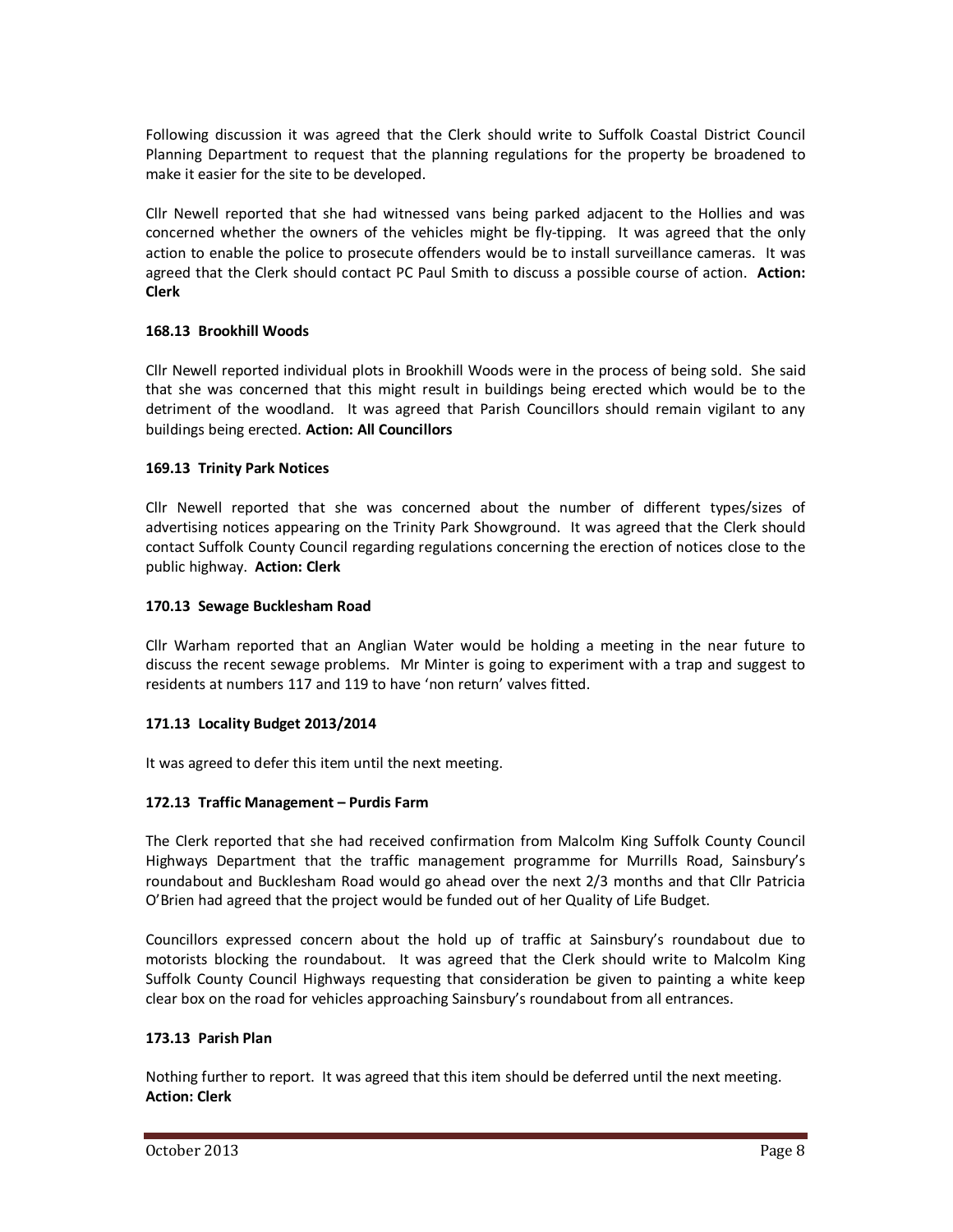Following discussion it was agreed that the Clerk should write to Suffolk Coastal District Council Planning Department to request that the planning regulations for the property be broadened to make it easier for the site to be developed.

Cllr Newell reported that she had witnessed vans being parked adjacent to the Hollies and was concerned whether the owners of the vehicles might be fly-tipping. It was agreed that the only action to enable the police to prosecute offenders would be to install surveillance cameras. It was agreed that the Clerk should contact PC Paul Smith to discuss a possible course of action. **Action: Clerk**

## **168.13 Brookhill Woods**

Cllr Newell reported individual plots in Brookhill Woods were in the process of being sold. She said that she was concerned that this might result in buildings being erected which would be to the detriment of the woodland. It was agreed that Parish Councillors should remain vigilant to any buildings being erected. **Action: All Councillors** 

## **169.13 Trinity Park Notices**

Cllr Newell reported that she was concerned about the number of different types/sizes of advertising notices appearing on the Trinity Park Showground. It was agreed that the Clerk should contact Suffolk County Council regarding regulations concerning the erection of notices close to the public highway. **Action: Clerk** 

## **170.13 Sewage Bucklesham Road**

Cllr Warham reported that an Anglian Water would be holding a meeting in the near future to discuss the recent sewage problems. Mr Minter is going to experiment with a trap and suggest to residents at numbers 117 and 119 to have 'non return' valves fitted.

## **171.13 Locality Budget 2013/2014**

It was agreed to defer this item until the next meeting.

## **172.13 Traffic Management – Purdis Farm**

The Clerk reported that she had received confirmation from Malcolm King Suffolk County Council Highways Department that the traffic management programme for Murrills Road, Sainsbury's roundabout and Bucklesham Road would go ahead over the next 2/3 months and that Cllr Patricia O'Brien had agreed that the project would be funded out of her Quality of Life Budget.

Councillors expressed concern about the hold up of traffic at Sainsbury's roundabout due to motorists blocking the roundabout. It was agreed that the Clerk should write to Malcolm King Suffolk County Council Highways requesting that consideration be given to painting a white keep clear box on the road for vehicles approaching Sainsbury's roundabout from all entrances.

#### **173.13 Parish Plan**

Nothing further to report. It was agreed that this item should be deferred until the next meeting. **Action: Clerk**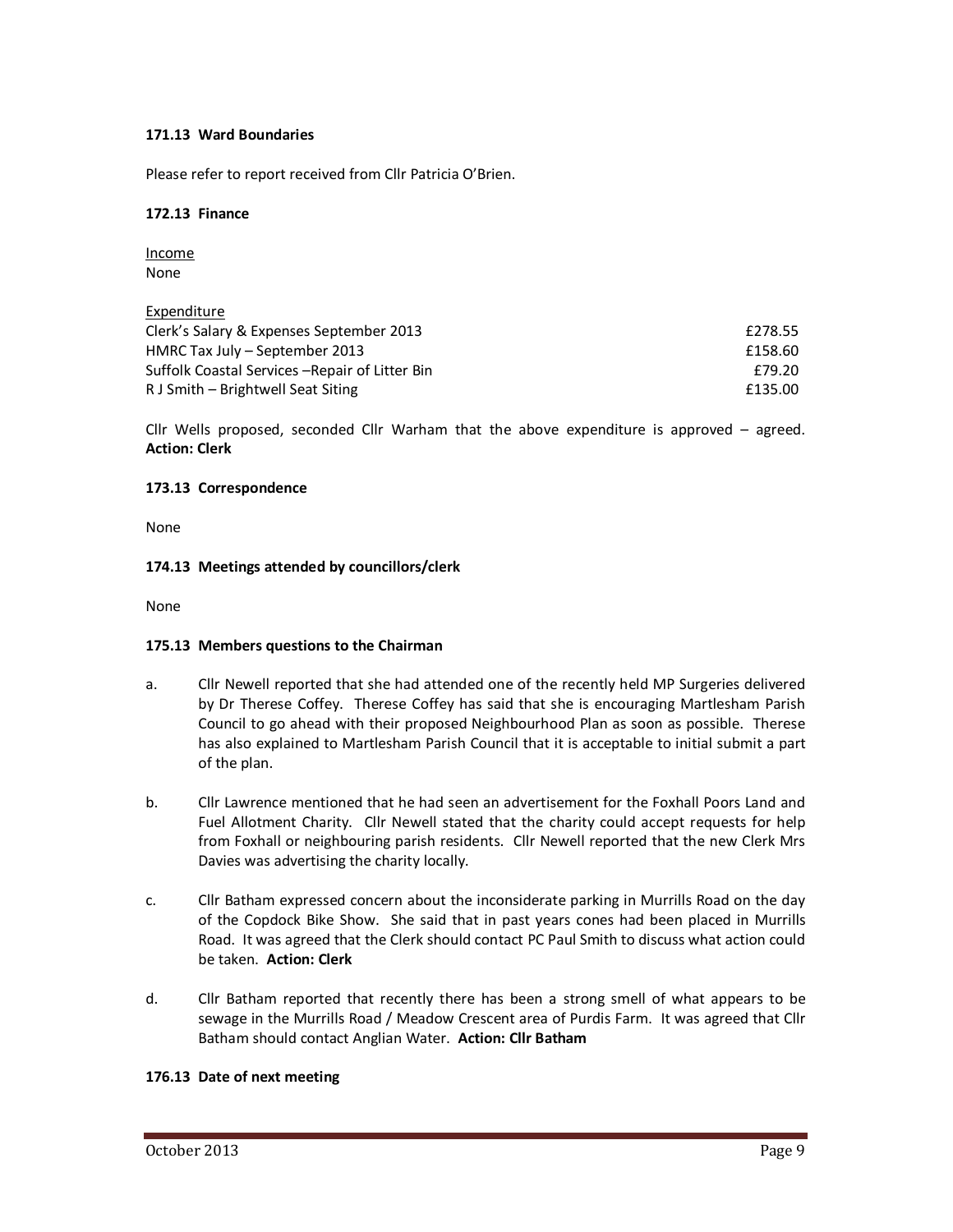## **171.13 Ward Boundaries**

Please refer to report received from Cllr Patricia O'Brien.

### **172.13 Finance**

Income None

**Expenditure** 

| <b>LANGITURE</b>                                |         |
|-------------------------------------------------|---------|
| Clerk's Salary & Expenses September 2013        | £278.55 |
| HMRC Tax July – September 2013                  | £158.60 |
| Suffolk Coastal Services – Repair of Litter Bin | £79.20  |
| R J Smith – Brightwell Seat Siting              | £135.00 |
|                                                 |         |

Cllr Wells proposed, seconded Cllr Warham that the above expenditure is approved – agreed. **Action: Clerk** 

## **173.13 Correspondence**

None

## **174.13 Meetings attended by councillors/clerk**

None

## **175.13 Members questions to the Chairman**

- a. Cllr Newell reported that she had attended one of the recently held MP Surgeries delivered by Dr Therese Coffey. Therese Coffey has said that she is encouraging Martlesham Parish Council to go ahead with their proposed Neighbourhood Plan as soon as possible. Therese has also explained to Martlesham Parish Council that it is acceptable to initial submit a part of the plan.
- b. Cllr Lawrence mentioned that he had seen an advertisement for the Foxhall Poors Land and Fuel Allotment Charity. Cllr Newell stated that the charity could accept requests for help from Foxhall or neighbouring parish residents. Cllr Newell reported that the new Clerk Mrs Davies was advertising the charity locally.
- c. Cllr Batham expressed concern about the inconsiderate parking in Murrills Road on the day of the Copdock Bike Show. She said that in past years cones had been placed in Murrills Road. It was agreed that the Clerk should contact PC Paul Smith to discuss what action could be taken. **Action: Clerk**
- d. Cllr Batham reported that recently there has been a strong smell of what appears to be sewage in the Murrills Road / Meadow Crescent area of Purdis Farm. It was agreed that Cllr Batham should contact Anglian Water. **Action: Cllr Batham**

## **176.13 Date of next meeting**